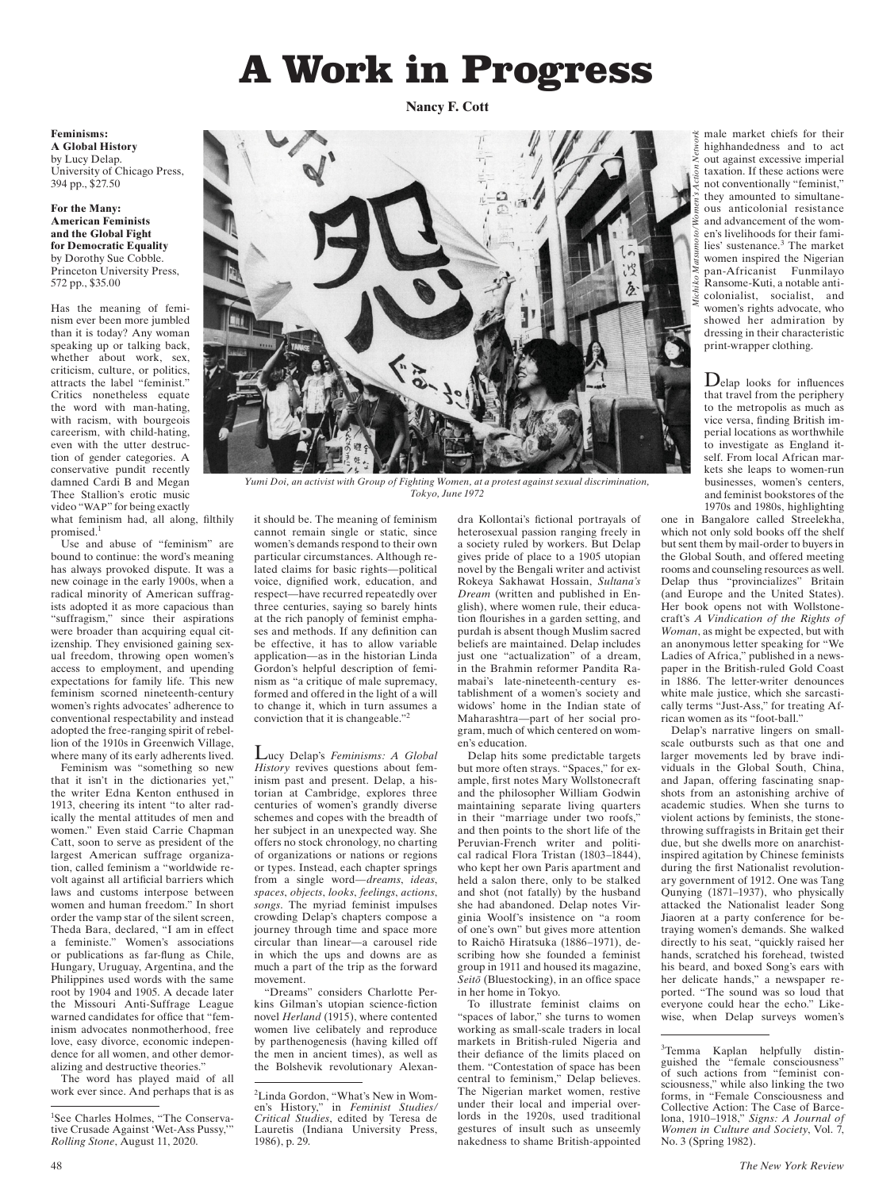# A Work in Progress

**Nancy F. Cott**

#### **Feminisms: A Global History**

by Lucy Delap. University of Chicago Press, 394 pp., \$27.50

**For the Many: American Feminists and the Global Fight for Democratic Equality** by Dorothy Sue Cobble. Princeton University Press, 572 pp., \$35.00

Has the meaning of feminism ever been more jumbled than it is today? Any woman speaking up or talking back, whether about work, sex, criticism, culture, or politics, attracts the label "feminist." Critics nonetheless equate the word with man-hating, with racism, with bourgeois careerism, with child-hating, even with the utter destruction of gender categories. A conservative pundit recently damned Cardi B and Megan Thee Stallion's erotic music video "WAP" for being exactly what feminism had, all along, filthily promised.<sup>1</sup>

Use and abuse of "feminism" are bound to continue: the word's meaning has always provoked dispute. It was a new coinage in the early 1900s, when a radical minority of American suffragists adopted it as more capacious than "suffragism," since their aspirations were broader than acquiring equal citizenship. They envisioned gaining sexual freedom, throwing open women's access to employment, and upending expectations for family life. This new feminism scorned nineteenth-century women's rights advocates' adherence to conventional respectability and instead adopted the free-ranging spirit of rebellion of the 1910s in Greenwich Village, where many of its early adherents lived.

Feminism was "something so new that it isn't in the dictionaries yet," the writer Edna Kenton enthused in 1913, cheering its intent "to alter radically the mental attitudes of men and women." Even staid Carrie Chapman Catt, soon to serve as president of the largest American suffrage organization, called feminism a "worldwide revolt against all artificial barriers which laws and customs interpose between women and human freedom." In short order the vamp star of the silent screen, Theda Bara, declared, "I am in effect a feministe." Women's associations or publications as far-flung as Chile, Hungary, Uruguay, Argentina, and the Philippines used words with the same root by 1904 and 1905. A decade later the Missouri Anti-Suffrage League warned candidates for office that "feminism advocates nonmotherhood, free love, easy divorce, economic independence for all women, and other demoralizing and destructive theories."

The word has played maid of all work ever since. And perhaps that is as



*Yumi Doi, an activist with Group of Fighting Women, at a protest against sexual discrimination, Tokyo, June 1972*

it should be. The meaning of feminism cannot remain single or static, since women's demands respond to their own particular circumstances. Although related claims for basic rights—political voice, dignified work, education, and respect—have recurred repeatedly over three centuries, saying so barely hints at the rich panoply of feminist emphases and methods. If any definition can be effective, it has to allow variable application—as in the historian Linda Gordon's helpful description of feminism as "a critique of male supremacy, formed and offered in the light of a will to change it, which in turn assumes a conviction that it is changeable."2

Lucy Delap's *Feminisms: A Global History* revives questions about feminism past and present. Delap, a historian at Cambridge, explores three centuries of women's grandly diverse schemes and copes with the breadth of her subject in an unexpected way. She offers no stock chronology, no charting of organizations or nations or regions or types. Instead, each chapter springs from a single word—*dreams*, *ideas*, *spaces*, *objects*, *looks*, *feelings*, *actions*, *songs*. The myriad feminist impulses crowding Delap's chapters compose a journey through time and space more circular than linear—a carousel ride in which the ups and downs are as much a part of the trip as the forward movement.

"Dreams" considers Charlotte Perkins Gilman's utopian science-fiction novel *Herland* (1915), where contented women live celibately and reproduce by parthenogenesis (having killed off the men in ancient times), as well as the Bolshevik revolutionary Alexan-

dra Kollontai's fictional portrayals of heterosexual passion ranging freely in a society ruled by workers. But Delap gives pride of place to a 1905 utopian novel by the Bengali writer and activist Rokeya Sakhawat Hossain, *Sultana's Dream* (written and published in English), where women rule, their education flourishes in a garden setting, and purdah is absent though Muslim sacred beliefs are maintained. Delap includes just one "actualization" of a dream, in the Brahmin reformer Pandita Ramabai's late-nineteenth-century establishment of a women's society and widows' home in the Indian state of Maharashtra—part of her social program, much of which centered on women's education.

Delap hits some predictable targets but more often strays. "Spaces," for example, first notes Mary Wollstonecraft and the philosopher William Godwin maintaining separate living quarters in their "marriage under two roofs," and then points to the short life of the Peruvian-French writer and political radical Flora Tristan (1803–1844), who kept her own Paris apartment and held a salon there, only to be stalked and shot (not fatally) by the husband she had abandoned. Delap notes Virginia Woolf's insistence on "a room of one's own" but gives more attention to Raichō Hiratsuka (1886-1971), describing how she founded a feminist group in 1911 and housed its magazine, *Seitǀ* (Bluestocking), in an office space in her home in Tokyo.

To illustrate feminist claims on spaces of labor," she turns to women working as small- scale traders in local markets in British-ruled Nigeria and their defiance of the limits placed on them. "Contestation of space has been central to feminism," Delap believes. The Nigerian market women, restive under their local and imperial overlords in the 1920s, used traditional gestures of insult such as unseemly nakedness to shame British- appointed

male market chiefs for their highhandedness and to act out against excessive imperial taxation. If these actions were not conventionally "feminist," they amounted to simultaneous anticolonial resistance and advancement of the women's livelihoods for their families' sustenance.<sup>3</sup> The market women inspired the Nigerian pan- Africanist Funmilayo Ransome-Kuti, a notable anticolonialist, socialist, and women's rights advocate, who showed her admiration by dressing in their characteristic print-wrapper clothing.

Delap looks for influences that travel from the periphery to the metropolis as much as vice versa, finding British imperial locations as worthwhile to investigate as England itself. From local African markets she leaps to women-run businesses, women's centers, and feminist bookstores of the 1970s and 1980s, highlighting

one in Bangalore called Streelekha, which not only sold books off the shelf but sent them by mail- order to buyers in the Global South, and offered meeting rooms and counseling resources as well. Delap thus "provincializes" Britain (and Europe and the United States). Her book opens not with Wollstonecraft's *A Vindication of the Rights of Woman*, as might be expected, but with an anonymous letter speaking for "We Ladies of Africa," published in a newspaper in the British-ruled Gold Coast in 1886. The letter-writer denounces white male justice, which she sarcastically terms "Just-Ass," for treating African women as its "foot-ball."

Delap's narrative lingers on smallscale outbursts such as that one and larger movements led by brave individuals in the Global South, China, and Japan, offering fascinating snapshots from an astonishing archive of academic studies. When she turns to violent actions by feminists, the stonethrowing suffragists in Britain get their due, but she dwells more on anarchistinspired agitation by Chinese feminists during the first Nationalist revolutionary government of 1912. One was Tang Qunying (1871–1937), who physically attacked the Nationalist leader Song Jiaoren at a party conference for betraying women's demands. She walked directly to his seat, "quickly raised her hands, scratched his forehead, twisted his beard, and boxed Song's ears with her delicate hands," a newspaper reported. "The sound was so loud that everyone could hear the echo." Likewise, when Delap surveys

<sup>1</sup> See Charles Holmes, "The Conservative Crusade Against 'Wet-Ass Pussy,'" *Rolling Stone*, August 11, 2020.

<sup>2</sup> Linda Gordon, "What's New in Women's History," in *Feminist Studies/ Critical Studies*, edited by Teresa de Lauretis (Indiana University Press, 1986), p. 29.

<sup>&</sup>lt;sup>3</sup>Temma Kaplan helpfully distinguished the "female consciousness" of such actions from "feminist consciousness," while also linking the two forms, in "Female Consciousness and Collective Action: The Case of Barcelona, 1910–1918," *Signs: A Journal of Women in Culture and Society*, Vol. 7, No. 3 (Spring 1982).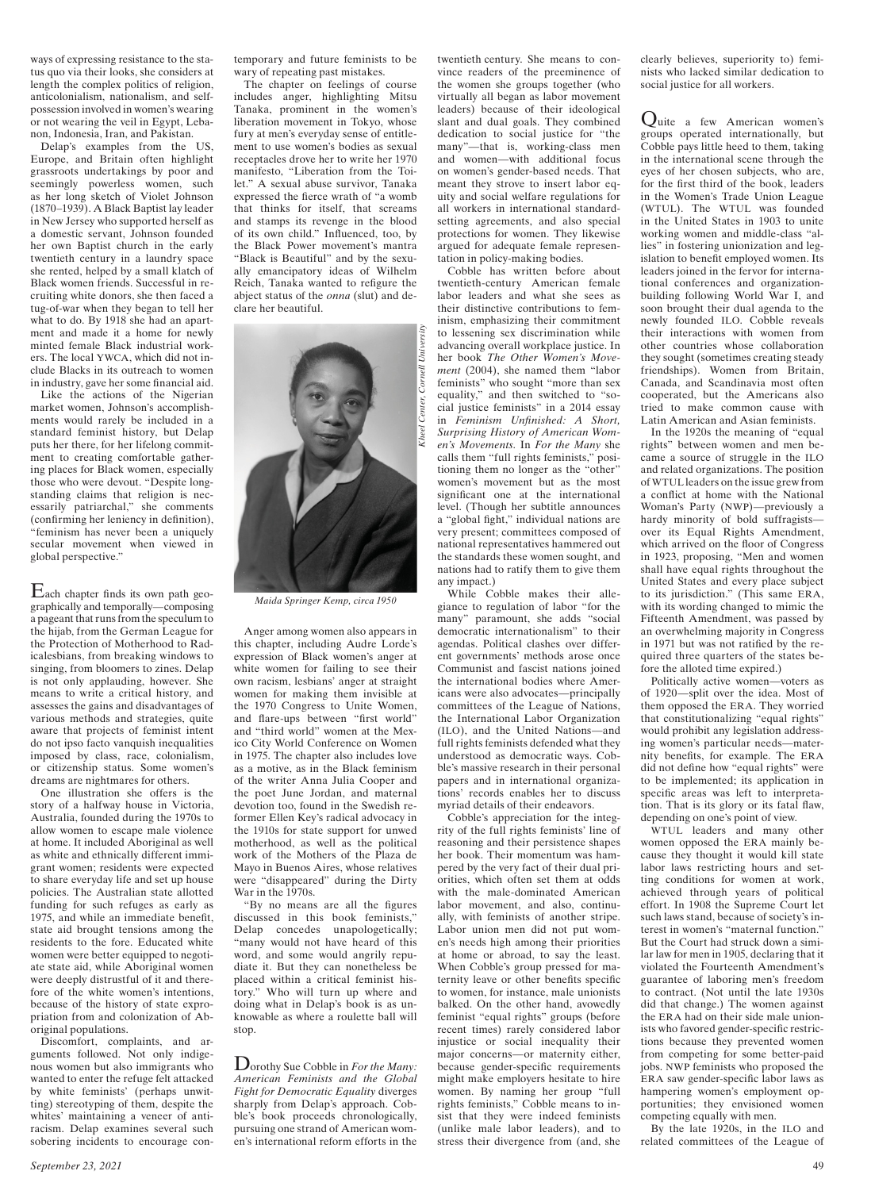ways of expressing resistance to the status quo via their looks, she considers at length the complex politics of religion, anticolonialism, nationalism, and selfpossession involved in women's wearing or not wearing the veil in Egypt, Lebanon, Indonesia, Iran, and Pakistan.

Delap's examples from the US, Europe, and Britain often highlight grassroots undertakings by poor and seemingly powerless women, such as her long sketch of Violet Johnson (1870–1939). A Black Baptist lay leader in New Jersey who supported herself as a domestic servant, Johnson founded her own Baptist church in the early twentieth century in a laundry space she rented, helped by a small klatch of Black women friends. Successful in recruiting white donors, she then faced a tug- of-war when they began to tell her what to do. By 1918 she had an apartment and made it a home for newly minted female Black industrial workers. The local YWCA, which did not include Blacks in its outreach to women in industry, gave her some financial aid.

Like the actions of the Nigerian market women, Johnson's accomplishments would rarely be included in a standard feminist history, but Delap puts her there, for her lifelong commitment to creating comfortable gathering places for Black women, especially those who were devout. "Despite longstanding claims that religion is necessarily patriarchal," she comments (confirming her leniency in definition), "feminism has never been a uniquely secular movement when viewed in global perspective."

 $E$ ach chapter finds its own path geographically and temporally—composing a pageant that runs from the speculum to the hijab, from the German League for the Protection of Motherhood to Radicalesbians, from breaking windows to singing, from bloomers to zines. Delap is not only applauding, however. She means to write a critical history, and assesses the gains and disadvantages of various methods and strategies, quite aware that projects of feminist intent do not ipso facto vanquish inequalities imposed by class, race, colonialism, or citizenship status. Some women's dreams are nightmares for others.

One illustration she offers is the story of a halfway house in Victoria, Australia, founded during the 1970s to allow women to escape male violence at home. It included Aboriginal as well as white and ethnically different immigrant women; residents were expected to share everyday life and set up house policies. The Australian state allotted funding for such refuges as early as 1975, and while an immediate benefit, state aid brought tensions among the residents to the fore. Educated white women were better equipped to negotiate state aid, while Aboriginal women were deeply distrustful of it and therefore of the white women's intentions, because of the history of state expropriation from and colonization of Aboriginal populations.

Discomfort, complaints, and arguments followed. Not only indigenous women but also immigrants who wanted to enter the refuge felt attacked by white feminists' (perhaps unwitting) stereotyping of them, despite the whites' maintaining a veneer of antiracism. Delap examines several such sobering incidents to encourage contemporary and future feminists to be wary of repeating past mistakes.

The chapter on feelings of course includes anger, highlighting Mitsu Tanaka, prominent in the women's liberation movement in Tokyo, whose fury at men's everyday sense of entitlement to use women's bodies as sexual receptacles drove her to write her 1970 manifesto, "Liberation from the Toilet." A sexual abuse survivor, Tanaka expressed the fierce wrath of "a womb that thinks for itself, that screams and stamps its revenge in the blood of its own child." Influenced, too, by the Black Power movement's mantra "Black is Beautiful" and by the sexually emancipatory ideas of Wilhelm Reich, Tanaka wanted to refigure the abject status of the *onna* (slut) and declare her beautiful.



*Maida Springer Kemp, circa 1950*

Anger among women also appears in this chapter, including Audre Lorde's expression of Black women's anger at white women for failing to see their own racism, lesbians' anger at straight women for making them invisible at the 1970 Congress to Unite Women, and flare-ups between "first world" and "third world" women at the Mexico City World Conference on Women in 1975. The chapter also includes love as a motive, as in the Black feminism of the writer Anna Julia Cooper and the poet June Jordan, and maternal devotion too, found in the Swedish reformer Ellen Key's radical advocacy in the 1910s for state support for unwed motherhood, as well as the political work of the Mothers of the Plaza de Mayo in Buenos Aires, whose relatives were "disappeared" during the Dirty War in the 1970s.

"By no means are all the figures discussed in this book feminists," Delap concedes unapologetically; "many would not have heard of this word, and some would angrily repudiate it. But they can nonetheless be placed within a critical feminist history." Who will turn up where and doing what in Delap's book is as unknowable as where a roulette ball will stop.

Dorothy Sue Cobble in *For the Many: American Feminists and the Global Fight for Democratic Equality* diverges sharply from Delap's approach. Cobble's book proceeds chronologically, pursuing one strand of American women's international reform efforts in the

twentieth century. She means to convince readers of the preeminence of the women she groups together (who virtually all began as labor movement leaders) because of their ideological slant and dual goals. They combined dedication to social justice for "the many"—that is, working-class men and women—with additional focus on women's gender-based needs. That meant they strove to insert labor equity and social welfare regulations for all workers in international standardsetting agreements, and also special protections for women. They likewise argued for adequate female representation in policy-making bodies.

Cobble has written before about twentieth- century American female labor leaders and what she sees as their distinctive contributions to feminism, emphasizing their commitment to lessening sex discrimination while advancing overall workplace justice. In her book *The Other Women's Movement* (2004), she named them "labor feminists" who sought "more than sex equality," and then switched to "social justice feminists" in a 2014 essay in *Feminism Unfinished: A Short, Surprising History of American Women's Movements.* In *For the Many* she calls them "full rights feminists," positioning them no longer as the "other" women's movement but as the most significant one at the international level. (Though her subtitle announces a "global fight," individual nations are very present; committees composed of national representatives hammered out the standards these women sought, and nations had to ratify them to give them any impact.)

While Cobble makes their allegiance to regulation of labor "for the many" paramount, she adds "social democratic internationalism" to their agendas. Political clashes over different governments' methods arose once Communist and fascist nations joined the international bodies where Americans were also advocates—principally committees of the League of Nations, the International Labor Organization (ILO), and the United Nations—and full rights feminists defended what they understood as democratic ways. Cobble's massive research in their personal papers and in international organizations' records enables her to discuss myriad details of their endeavors.

Cobble's appreciation for the integrity of the full rights feminists' line of reasoning and their persistence shapes her book. Their momentum was hampered by the very fact of their dual priorities, which often set them at odds with the male-dominated American labor movement, and also, continually, with feminists of another stripe. Labor union men did not put women's needs high among their priorities at home or abroad, to say the least. When Cobble's group pressed for maternity leave or other benefits specific to women, for instance, male unionists balked. On the other hand, avowedly feminist "equal rights" groups (before recent times) rarely considered labor injustice or social inequality their major concerns—or maternity either, because gender-specific requirements might make employers hesitate to hire women. By naming her group "full rights feminists," Cobble means to insist that they were indeed feminists (unlike male labor leaders), and to stress their divergence from (and, she

clearly believes, superiority to) feminists who lacked similar dedication to social justice for all workers.

Quite a few American women's groups operated internationally, but Cobble pays little heed to them, taking in the international scene through the eyes of her chosen subjects, who are, for the first third of the book, leaders in the Women's Trade Union League (WTUL). The WTUL was founded in the United States in 1903 to unite working women and middle-class "allies" in fostering unionization and legislation to benefit employed women. Its leaders joined in the fervor for international conferences and organizationbuilding following World War I, and soon brought their dual agenda to the newly founded ILO. Cobble reveals their interactions with women from other countries whose collaboration they sought (sometimes creating steady friendships). Women from Britain, Canada, and Scandinavia most often cooperated, but the Americans also tried to make common cause with Latin American and Asian feminists.

In the 1920s the meaning of "equal rights" between women and men became a source of struggle in the ILO and related organizations. The position of WTUL leaders on the issue grew from a conflict at home with the National Woman's Party (NWP)—previously a hardy minority of bold suffragists over its Equal Rights Amendment, which arrived on the floor of Congress in 1923, proposing, "Men and women shall have equal rights throughout the United States and every place subject to its jurisdiction." (This same ERA, with its wording changed to mimic the Fifteenth Amendment, was passed by an overwhelming majority in Congress in 1971 but was not ratified by the required three quarters of the states before the alloted time expired.)

Politically active women—voters as of 1920—split over the idea. Most of them opposed the ERA. They worried that constitutionalizing "equal rights" would prohibit any legislation addressing women's particular needs—maternity benefits, for example. The ERA did not define how "equal rights" were to be implemented; its application in specific areas was left to interpretation. That is its glory or its fatal flaw, depending on one's point of view.

WTUL leaders and many other women opposed the ERA mainly because they thought it would kill state labor laws restricting hours and setting conditions for women at work, achieved through years of political effort. In 1908 the Supreme Court let such laws stand, because of society's interest in women's "maternal function." But the Court had struck down a similar law for men in 1905, declaring that it violated the Fourteenth Amendment's guarantee of laboring men's freedom to contract. (Not until the late 1930s did that change.) The women against the ERA had on their side male unionists who favored gender- specific restrictions because they prevented women from competing for some better-paid jobs. NWP feminists who proposed the ERA saw gender-specific labor laws as hampering women's employment opportunities; they envisioned women competing equally with men.

By the late 1920s, in the ILO and related committees of the League of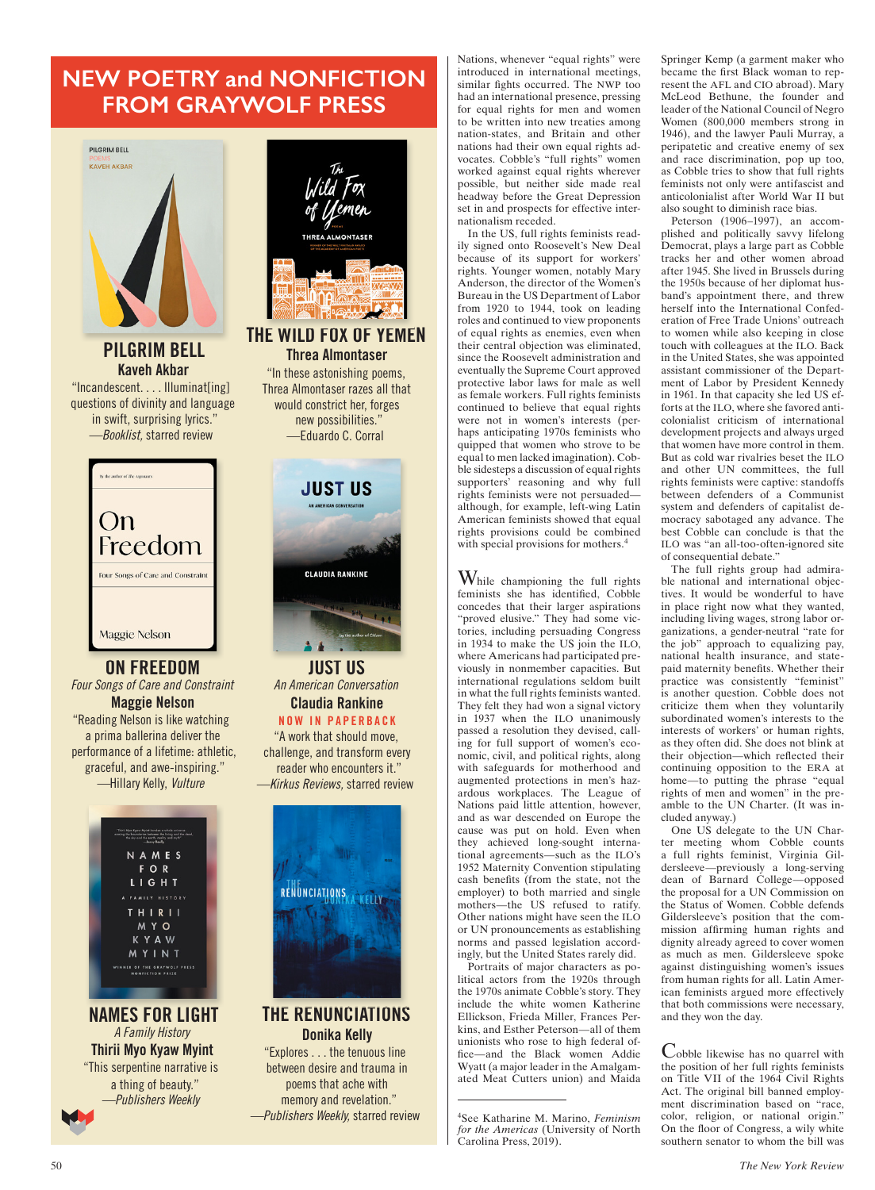### **NEW POETRY and NONFICTION FROM GRAYWOLF PRESS**



PILGRIM BELL Kaveh Akbar "Incandescent. . . . Illuminat[ing]

questions of divinity and language in swift, surprising lyrics." —Booklist, starred review



ON FREEDOM Four Songs of Care and Constraint Maggie Nelson "Reading Nelson is like watching a prima ballerina deliver the performance of a lifetime: athletic, graceful, and awe-inspiring." —Hillary Kelly, Vulture

> NAMES FOR LIGHT FAMILY HISTORY **THIRII** M Y O **KYAW** MYINT **R OF THE GRAYWOLF PRESS**<br>NONFICTION PRIZE

NAMES FOR LIGHT A Family History Thirii Myo Kyaw Myint "This serpentine narrative is a thing of beauty." —Publishers Weekly





An American Conversation Claudia Rankine NOW IN PAPERBACK

"A work that should move, challenge, and transform every reader who encounters it." —Kirkus Reviews, starred review



### THE RENUNCIATIONS Donika Kelly

"Explores . . . the tenuous line between desire and trauma in poems that ache with memory and revelation." —Publishers Weekly, starred review

Nations, whenever "equal rights" were introduced in international meetings, similar fights occurred. The NWP too had an international presence, pressing for equal rights for men and women to be written into new treaties among nation- states, and Britain and other nations had their own equal rights advocates. Cobble's "full rights" women worked against equal rights wherever possible, but neither side made real headway before the Great Depression set in and prospects for effective internationalism receded.

In the US, full rights feminists readily signed onto Roosevelt's New Deal because of its support for workers' rights. Younger women, notably Mary Anderson, the director of the Women's Bureau in the US Department of Labor from 1920 to 1944, took on leading roles and continued to view proponents of equal rights as enemies, even when their central objection was eliminated, since the Roosevelt administration and eventually the Supreme Court approved protective labor laws for male as well as female workers. Full rights feminists continued to believe that equal rights were not in women's interests (perhaps anticipating 1970s feminists who quipped that women who strove to be equal to men lacked imagination). Cobble sidesteps a discussion of equal rights supporters' reasoning and why full rights feminists were not persuaded although, for example, left-wing Latin American feminists showed that equal rights provisions could be combined with special provisions for mothers.<sup>4</sup>

While championing the full rights feminists she has identified, Cobble concedes that their larger aspirations "proved elusive." They had some victories, including persuading Congress in 1934 to make the US join the ILO, where Americans had participated previously in nonmember capacities. But international regulations seldom built in what the full rights feminists wanted. They felt they had won a signal victory in 1937 when the ILO unanimously passed a resolution they devised, calling for full support of women's economic, civil, and political rights, along with safeguards for motherhood and augmented protections in men's hazardous workplaces. The League of Nations paid little attention, however, and as war descended on Europe the cause was put on hold. Even when they achieved long-sought international agreements—such as the ILO's 1952 Maternity Convention stipulating cash benefits (from the state, not the employer) to both married and single mothers—the US refused to ratify. Other nations might have seen the ILO or UN pronouncements as establishing norms and passed legislation accordingly, but the United States rarely did.

Portraits of major characters as political actors from the 1920s through the 1970s animate Cobble's story. They include the white women Katherine Ellickson, Frieda Miller, Frances Perkins, and Esther Peterson—all of them unionists who rose to high federal office—and the Black women Addie Wyatt (a major leader in the Amalgamated Meat Cutters union) and Maida

4 See Katharine M. Marino, *Feminism for the Americas* (University of North Carolina Press, 2019).

Springer Kemp (a garment maker who became the first Black woman to represent the AFL and CIO abroad). Mary McLeod Bethune, the founder and leader of the National Council of Negro Women (800,000 members strong in 1946), and the lawyer Pauli Murray, a peripatetic and creative enemy of sex and race discrimination, pop up too, as Cobble tries to show that full rights feminists not only were antifascist and anticolonialist after World War II but also sought to diminish race bias.

Peterson (1906–1997), an accomplished and politically savvy lifelong Democrat, plays a large part as Cobble tracks her and other women abroad after 1945. She lived in Brussels during the 1950s because of her diplomat husband's appointment there, and threw herself into the International Confederation of Free Trade Unions' outreach to women while also keeping in close touch with colleagues at the ILO. Back in the United States, she was appointed assistant commissioner of the Department of Labor by President Kennedy in 1961. In that capacity she led US efforts at the ILO, where she favored anticolonialist criticism of international development projects and always urged that women have more control in them. But as cold war rivalries beset the ILO and other UN committees, the full rights feminists were captive: standoffs between defenders of a Communist system and defenders of capitalist democracy sabotaged any advance. The best Cobble can conclude is that the ILO was "an all-too-often-ignored site of consequential debate."

The full rights group had admirable national and international objectives. It would be wonderful to have in place right now what they wanted, including living wages, strong labor organizations, a gender- neutral "rate for the job" approach to equalizing pay, national health insurance, and statepaid maternity benefits. Whether their practice was consistently "feminist" is another question. Cobble does not criticize them when they voluntarily subordinated women's interests to the interests of workers' or human rights, as they often did. She does not blink at their objection—which reflected their continuing opposition to the ERA at home—to putting the phrase "equal rights of men and women" in the preamble to the UN Charter. (It was included anyway.)

One US delegate to the UN Charter meeting whom Cobble counts a full rights feminist, Virginia Gildersleeve—previously a long-serving dean of Barnard College—opposed the proposal for a UN Commission on the Status of Women. Cobble defends Gildersleeve's position that the commission affirming human rights and dignity already agreed to cover women as much as men. Gildersleeve spoke against distinguishing women's issues from human rights for all. Latin American feminists argued more effectively that both commissions were necessary, and they won the day.

Cobble likewise has no quarrel with the position of her full rights feminists on Title VII of the 1964 Civil Rights Act. The original bill banned employment discrimination based on "race, color, religion, or national origin." On the floor of Congress, a wily white southern senator to whom the bill was